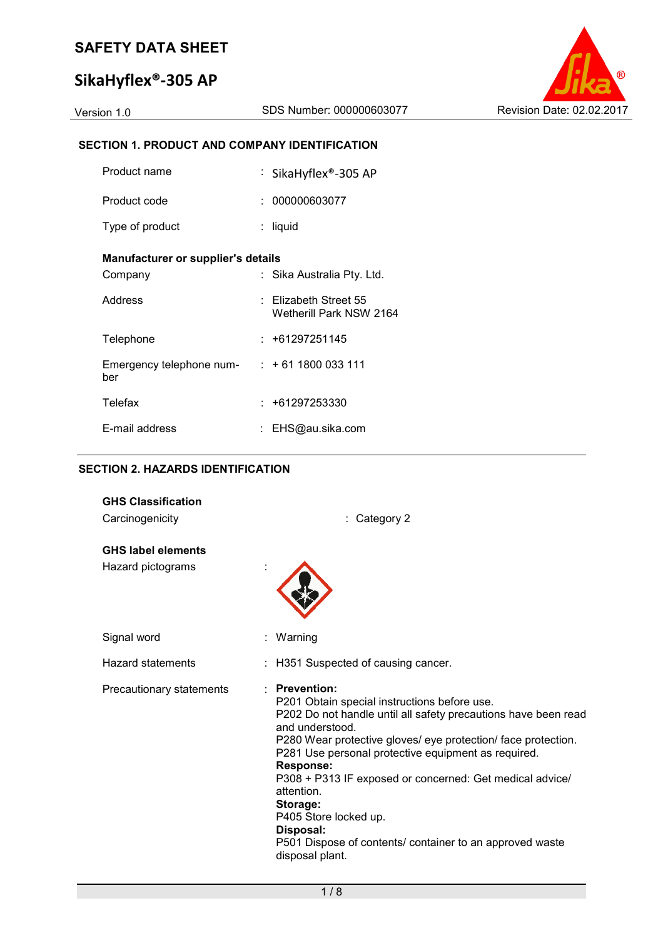# **SikaHyflex®-305 AP**



## **SECTION 1. PRODUCT AND COMPANY IDENTIFICATION**

| Product name                                      | : SikaHyflex®-305 AP                               |
|---------------------------------------------------|----------------------------------------------------|
| Product code                                      | : 000000603077                                     |
| Type of product                                   | : liquid                                           |
| Manufacturer or supplier's details                |                                                    |
| Company                                           | : Sika Australia Pty. Ltd.                         |
| Address                                           | $:$ Elizabeth Street 55<br>Wetherill Park NSW 2164 |
| Telephone                                         | $: +61297251145$                                   |
| Emergency telephone num- $: +611800033111$<br>ber |                                                    |
| Telefax                                           | $: +61297253330$                                   |
| E-mail address                                    | EHS@au.sika.com                                    |

## **SECTION 2. HAZARDS IDENTIFICATION**

| <b>GHS Classification</b> |                                                                                                                                                                                                                                                                                                                                                                                                                                                                                                           |  |
|---------------------------|-----------------------------------------------------------------------------------------------------------------------------------------------------------------------------------------------------------------------------------------------------------------------------------------------------------------------------------------------------------------------------------------------------------------------------------------------------------------------------------------------------------|--|
| Carcinogenicity           | : Category 2                                                                                                                                                                                                                                                                                                                                                                                                                                                                                              |  |
| <b>GHS label elements</b> |                                                                                                                                                                                                                                                                                                                                                                                                                                                                                                           |  |
| Hazard pictograms         |                                                                                                                                                                                                                                                                                                                                                                                                                                                                                                           |  |
| Signal word               | Warning                                                                                                                                                                                                                                                                                                                                                                                                                                                                                                   |  |
| Hazard statements         | : H351 Suspected of causing cancer.                                                                                                                                                                                                                                                                                                                                                                                                                                                                       |  |
| Precautionary statements  | : Prevention:<br>P201 Obtain special instructions before use.<br>P202 Do not handle until all safety precautions have been read<br>and understood.<br>P280 Wear protective gloves/ eye protection/ face protection.<br>P281 Use personal protective equipment as required.<br><b>Response:</b><br>P308 + P313 IF exposed or concerned: Get medical advice/<br>attention.<br>Storage:<br>P405 Store locked up.<br>Disposal:<br>P501 Dispose of contents/ container to an approved waste<br>disposal plant. |  |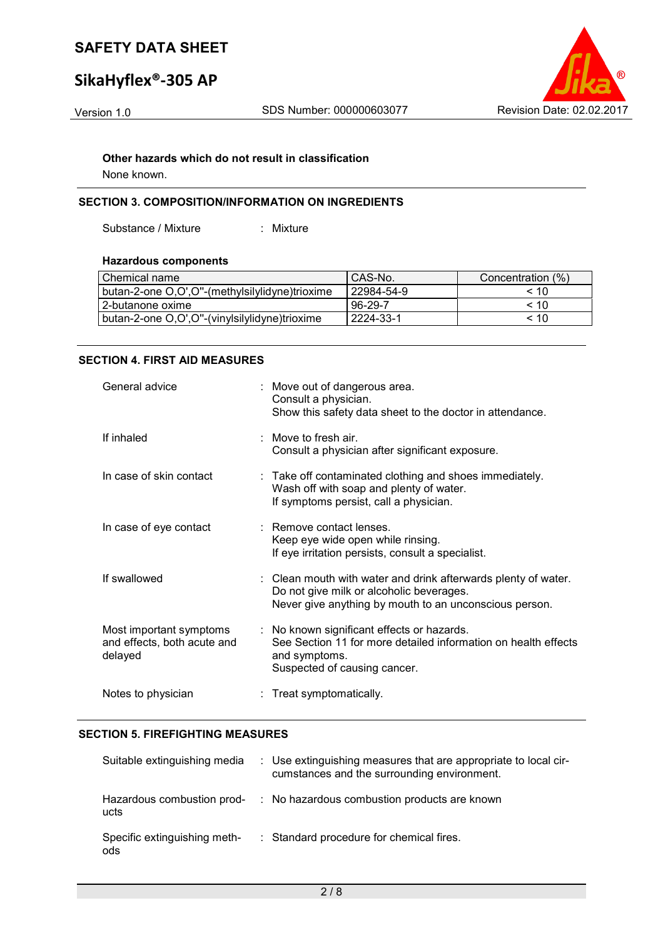# **SikaHyflex®-305 AP**



#### **Other hazards which do not result in classification**

None known.

## **SECTION 3. COMPOSITION/INFORMATION ON INGREDIENTS**

Substance / Mixture : Mixture

#### **Hazardous components**

| I Chemical name                                | I CAS-No.    | Concentration (%) |
|------------------------------------------------|--------------|-------------------|
| butan-2-one O,O',O"-(methylsilylidyne)trioxime | l 22984-54-9 | < 10              |
| l 2-butanone oxime.                            | $96-29-7$    | < 10              |
| butan-2-one O,O',O"-(vinylsilylidyne)trioxime  | l 2224-33-1  | < 10              |

#### **SECTION 4. FIRST AID MEASURES**

| General advice                                                    | : Move out of dangerous area.<br>Consult a physician.<br>Show this safety data sheet to the doctor in attendance.                                                    |
|-------------------------------------------------------------------|----------------------------------------------------------------------------------------------------------------------------------------------------------------------|
| If inhaled                                                        | $\therefore$ Move to fresh air.<br>Consult a physician after significant exposure.                                                                                   |
| In case of skin contact                                           | : Take off contaminated clothing and shoes immediately.<br>Wash off with soap and plenty of water.<br>If symptoms persist, call a physician.                         |
| In case of eye contact                                            | $\therefore$ Remove contact lenses.<br>Keep eye wide open while rinsing.<br>If eye irritation persists, consult a specialist.                                        |
| If swallowed                                                      | : Clean mouth with water and drink afterwards plenty of water.<br>Do not give milk or alcoholic beverages.<br>Never give anything by mouth to an unconscious person. |
| Most important symptoms<br>and effects, both acute and<br>delayed | : No known significant effects or hazards.<br>See Section 11 for more detailed information on health effects<br>and symptoms.<br>Suspected of causing cancer.        |
| Notes to physician                                                | : Treat symptomatically.                                                                                                                                             |

#### **SECTION 5. FIREFIGHTING MEASURES**

| Suitable extinguishing media        | : Use extinguishing measures that are appropriate to local cir-<br>cumstances and the surrounding environment. |
|-------------------------------------|----------------------------------------------------------------------------------------------------------------|
| Hazardous combustion prod-<br>ucts  | : No hazardous combustion products are known                                                                   |
| Specific extinguishing meth-<br>ods | : Standard procedure for chemical fires.                                                                       |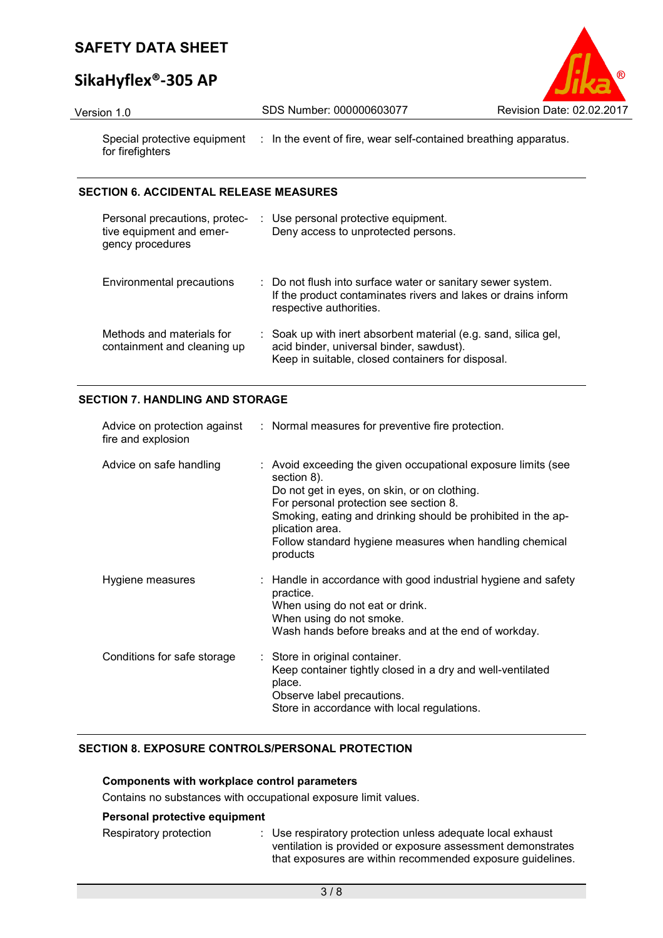# **SikaHyflex®-305 AP**



Version 1.0 SDS Number: 000000603077 Revision Date: 02.02.2017

Special protective equipment : In the event of fire, wear self-contained breathing apparatus. for firefighters

## **SECTION 6. ACCIDENTAL RELEASE MEASURES**

| Personal precautions, protec-<br>tive equipment and emer-<br>gency procedures | : Use personal protective equipment.<br>Deny access to unprotected persons.                                                                                      |
|-------------------------------------------------------------------------------|------------------------------------------------------------------------------------------------------------------------------------------------------------------|
| Environmental precautions                                                     | : Do not flush into surface water or sanitary sewer system.<br>If the product contaminates rivers and lakes or drains inform<br>respective authorities.          |
| Methods and materials for<br>containment and cleaning up                      | : Soak up with inert absorbent material (e.g. sand, silica gel,<br>acid binder, universal binder, sawdust).<br>Keep in suitable, closed containers for disposal. |

### **SECTION 7. HANDLING AND STORAGE**

| fire and explosion          | Advice on protection against : Normal measures for preventive fire protection.                                                                                                                                                                                                                                                   |
|-----------------------------|----------------------------------------------------------------------------------------------------------------------------------------------------------------------------------------------------------------------------------------------------------------------------------------------------------------------------------|
| Advice on safe handling     | : Avoid exceeding the given occupational exposure limits (see<br>section 8).<br>Do not get in eyes, on skin, or on clothing.<br>For personal protection see section 8.<br>Smoking, eating and drinking should be prohibited in the ap-<br>plication area.<br>Follow standard hygiene measures when handling chemical<br>products |
| Hygiene measures            | : Handle in accordance with good industrial hygiene and safety<br>practice.<br>When using do not eat or drink.<br>When using do not smoke.<br>Wash hands before breaks and at the end of workday.                                                                                                                                |
| Conditions for safe storage | : Store in original container.<br>Keep container tightly closed in a dry and well-ventilated<br>place.<br>Observe label precautions.<br>Store in accordance with local regulations.                                                                                                                                              |

## **SECTION 8. EXPOSURE CONTROLS/PERSONAL PROTECTION**

#### **Components with workplace control parameters**

Contains no substances with occupational exposure limit values.

## **Personal protective equipment**

Respiratory protection : Use respiratory protection unless adequate local exhaust ventilation is provided or exposure assessment demonstrates that exposures are within recommended exposure guidelines.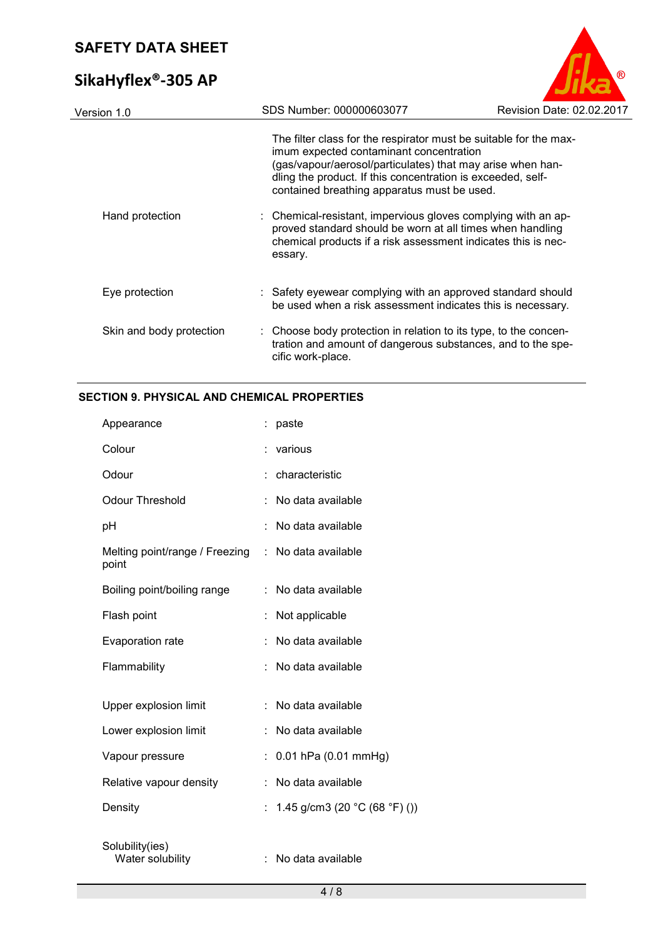# **SikaHyflex®-305 AP**



| SDS Number: 000000603077<br>Revision Date: 02.02.2017                                                                                                                                                                                                                                    |  |  |  |  |  |
|------------------------------------------------------------------------------------------------------------------------------------------------------------------------------------------------------------------------------------------------------------------------------------------|--|--|--|--|--|
| The filter class for the respirator must be suitable for the max-<br>imum expected contaminant concentration<br>(gas/vapour/aerosol/particulates) that may arise when han-<br>dling the product. If this concentration is exceeded, self-<br>contained breathing apparatus must be used. |  |  |  |  |  |
| : Chemical-resistant, impervious gloves complying with an ap-<br>proved standard should be worn at all times when handling<br>chemical products if a risk assessment indicates this is nec-<br>essary.                                                                                   |  |  |  |  |  |
| : Safety eyewear complying with an approved standard should<br>be used when a risk assessment indicates this is necessary.                                                                                                                                                               |  |  |  |  |  |
| : Choose body protection in relation to its type, to the concen-<br>tration and amount of dangerous substances, and to the spe-<br>cific work-place.                                                                                                                                     |  |  |  |  |  |
|                                                                                                                                                                                                                                                                                          |  |  |  |  |  |

## **SECTION 9. PHYSICAL AND CHEMICAL PROPERTIES**

| Appearance                              |    | paste                                             |
|-----------------------------------------|----|---------------------------------------------------|
| Colour                                  |    | various                                           |
| Odour                                   |    | characteristic                                    |
| <b>Odour Threshold</b>                  |    | No data available                                 |
| pH                                      |    | No data available                                 |
| Melting point/range / Freezing<br>point | ÷  | No data available                                 |
| Boiling point/boiling range             |    | No data available                                 |
| Flash point                             |    | Not applicable                                    |
| Evaporation rate                        |    | No data available                                 |
| Flammability                            | ÷  | No data available                                 |
|                                         |    |                                                   |
| Upper explosion limit                   |    | No data available                                 |
| Lower explosion limit                   |    | No data available                                 |
| Vapour pressure                         |    | 0.01 hPa (0.01 mmHg)                              |
| Relative vapour density                 | ÷  | No data available                                 |
| Density                                 | t. | 1.45 g/cm3 (20 $^{\circ}$ C (68 $^{\circ}$ F) ()) |
| Solubility(ies)<br>Water solubility     |    | : No data available                               |
|                                         |    |                                                   |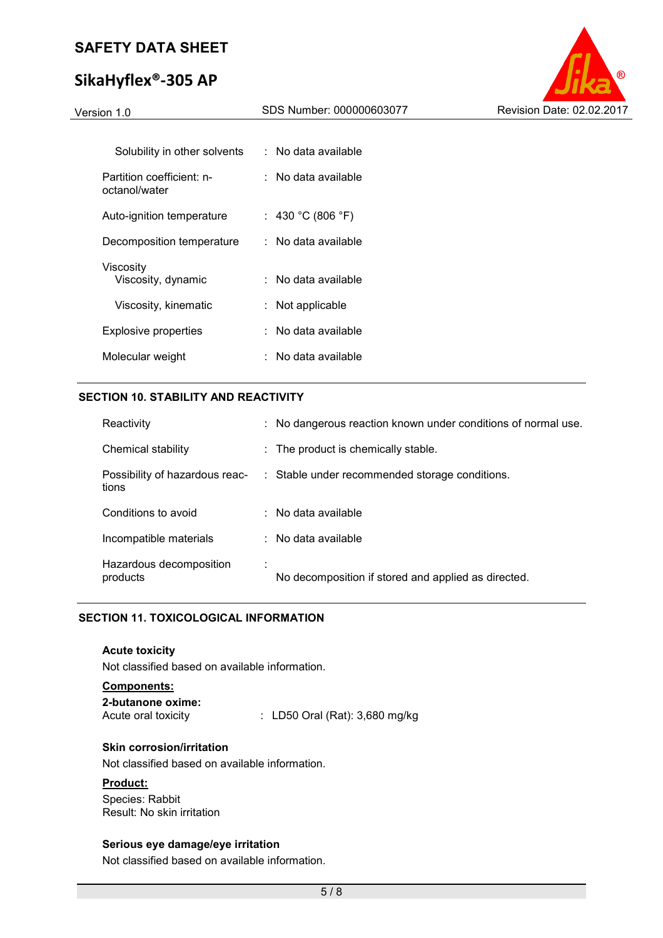# **SikaHyflex®-305 AP**



| Solubility in other solvents               | : No data available |
|--------------------------------------------|---------------------|
| Partition coefficient: n-<br>octanol/water | : No data available |
| Auto-ignition temperature                  | : 430 °C (806 °F)   |
| Decomposition temperature                  | : No data available |
| Viscosity<br>Viscosity, dynamic            | ∶ No data available |
| Viscosity, kinematic                       | : Not applicable    |
| Explosive properties                       | : No data available |
| Molecular weight                           | ∶ No data available |

## **SECTION 10. STABILITY AND REACTIVITY**

| Reactivity                              | : No dangerous reaction known under conditions of normal use. |
|-----------------------------------------|---------------------------------------------------------------|
| Chemical stability                      | : The product is chemically stable.                           |
| Possibility of hazardous reac-<br>tions | : Stable under recommended storage conditions.                |
| Conditions to avoid                     | $:$ No data available                                         |
| Incompatible materials                  | $:$ No data available                                         |
| Hazardous decomposition<br>products     | No decomposition if stored and applied as directed.           |

## **SECTION 11. TOXICOLOGICAL INFORMATION**

#### **Acute toxicity**

Not classified based on available information.

#### **Components:**

| 2-butanone oxime:   |                                           |
|---------------------|-------------------------------------------|
| Acute oral toxicity | $\therefore$ LD50 Oral (Rat): 3,680 mg/kg |

#### **Skin corrosion/irritation**

Not classified based on available information.

### **Product:**

Species: Rabbit Result: No skin irritation

#### **Serious eye damage/eye irritation**

Not classified based on available information.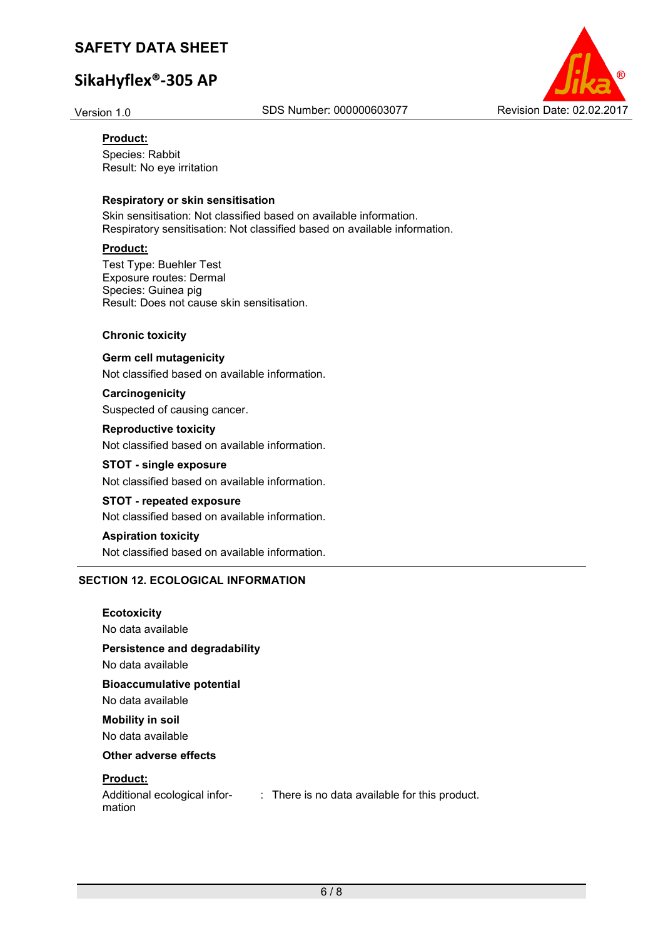# **SikaHyflex®-305 AP**



#### **Product:**

Species: Rabbit Result: No eye irritation

#### **Respiratory or skin sensitisation**

Skin sensitisation: Not classified based on available information. Respiratory sensitisation: Not classified based on available information.

#### **Product:**

Test Type: Buehler Test Exposure routes: Dermal Species: Guinea pig Result: Does not cause skin sensitisation.

#### **Chronic toxicity**

**Germ cell mutagenicity**  Not classified based on available information.

**Carcinogenicity**  Suspected of causing cancer.

**Reproductive toxicity**  Not classified based on available information.

**STOT - single exposure**  Not classified based on available information.

**STOT - repeated exposure**  Not classified based on available information.

**Aspiration toxicity**  Not classified based on available information.

#### **SECTION 12. ECOLOGICAL INFORMATION**

## **Ecotoxicity**

No data available

### **Persistence and degradability**

No data available

**Bioaccumulative potential** 

No data available

**Mobility in soil**  No data available

## **Other adverse effects**

#### **Product:**

Additional ecological infor-: There is no data available for this product. mation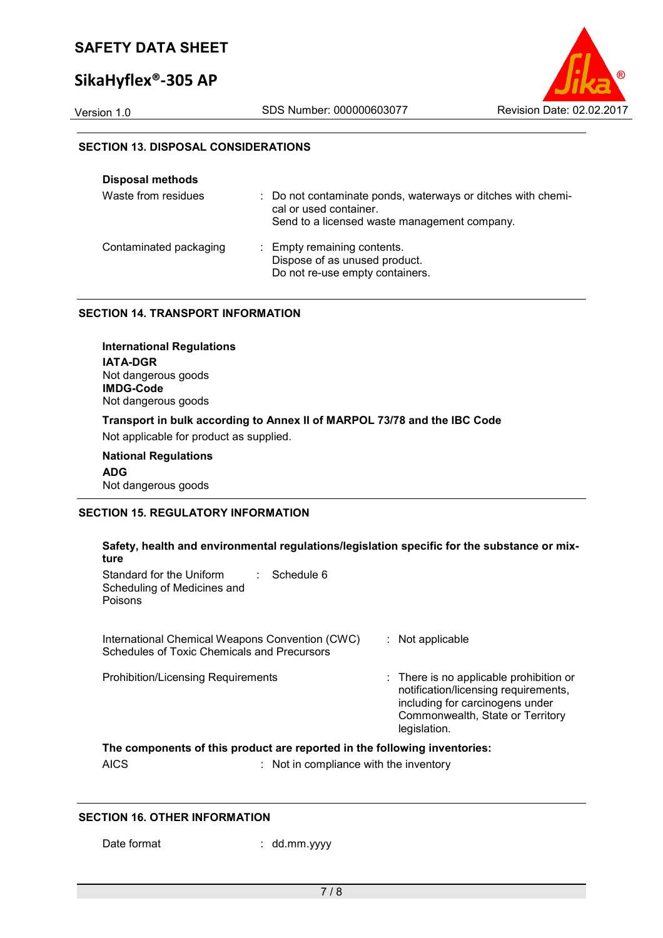# **SikaHyflex®-305 AP**



## **SECTION 13. DISPOSAL CONSIDERATIONS**

| <b>Disposal methods</b> |                                                                                                                                        |
|-------------------------|----------------------------------------------------------------------------------------------------------------------------------------|
| Waste from residues     | : Do not contaminate ponds, waterways or ditches with chemi-<br>cal or used container.<br>Send to a licensed waste management company. |
| Contaminated packaging  | : Empty remaining contents.<br>Dispose of as unused product.<br>Do not re-use empty containers.                                        |

## **SECTION 14. TRANSPORT INFORMATION**

**International Regulations IATA-DGR** Not dangerous goods **IMDG-Code** Not dangerous goods **Transport in bulk according to Annex II of MARPOL 73/78 and the IBC Code**  Not applicable for product as supplied. **National Regulations** 

**ADG** Not dangerous goods

#### **SECTION 15. REGULATORY INFORMATION**

| Safety, health and environmental regulations/legislation specific for the substance or mix-<br>ture                                                                                                      |                                                                                                                                                                        |
|----------------------------------------------------------------------------------------------------------------------------------------------------------------------------------------------------------|------------------------------------------------------------------------------------------------------------------------------------------------------------------------|
| Standard for the Uniform<br>$\therefore$ Schedule 6<br>Scheduling of Medicines and<br><b>Poisons</b>                                                                                                     |                                                                                                                                                                        |
| International Chemical Weapons Convention (CWC)<br>Schedules of Toxic Chemicals and Precursors                                                                                                           | $:$ Not applicable                                                                                                                                                     |
| <b>Prohibition/Licensing Requirements</b>                                                                                                                                                                | : There is no applicable prohibition or<br>notification/licensing requirements,<br>including for carcinogens under<br>Commonwealth, State or Territory<br>legislation. |
| The components of this product are reported in the following inventories:<br>$\cdots$<br>the contract of the contract of the contract of the contract of the contract of the contract of the contract of |                                                                                                                                                                        |

AICS : Not in compliance with the inventory

#### **SECTION 16. OTHER INFORMATION**

Date format : dd.mm.yyyy